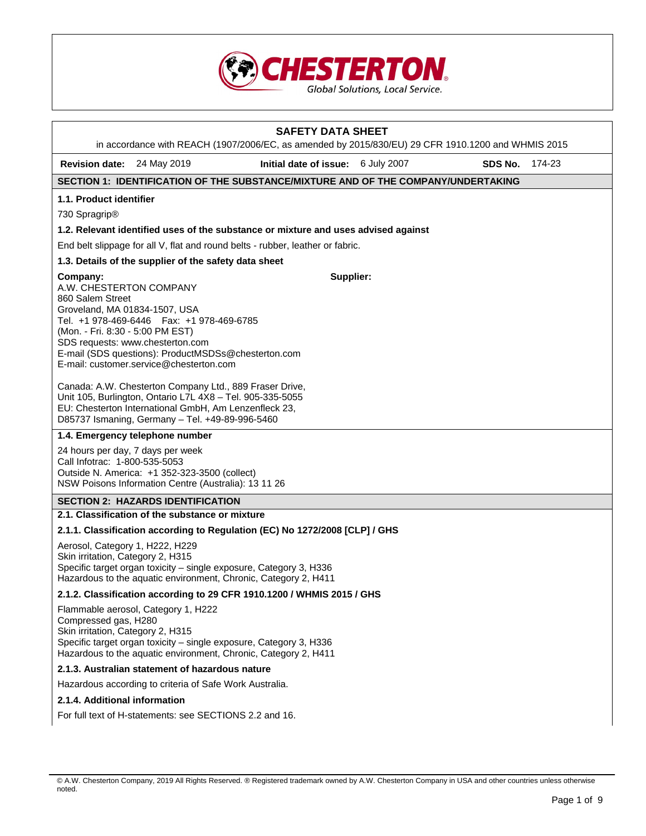

|                                                                                                                              |                                                                                                                                                                                                                                  | <b>SAFETY DATA SHEET</b><br>in accordance with REACH (1907/2006/EC, as amended by 2015/830/EU) 29 CFR 1910.1200 and WHMIS 2015 |           |         |        |
|------------------------------------------------------------------------------------------------------------------------------|----------------------------------------------------------------------------------------------------------------------------------------------------------------------------------------------------------------------------------|--------------------------------------------------------------------------------------------------------------------------------|-----------|---------|--------|
| Revision date: 24 May 2019                                                                                                   |                                                                                                                                                                                                                                  | Initial date of issue: 6 July 2007                                                                                             |           | SDS No. | 174-23 |
|                                                                                                                              |                                                                                                                                                                                                                                  | SECTION 1: IDENTIFICATION OF THE SUBSTANCE/MIXTURE AND OF THE COMPANY/UNDERTAKING                                              |           |         |        |
| 1.1. Product identifier                                                                                                      |                                                                                                                                                                                                                                  |                                                                                                                                |           |         |        |
| 730 Spragrip <sup>®</sup>                                                                                                    |                                                                                                                                                                                                                                  |                                                                                                                                |           |         |        |
|                                                                                                                              |                                                                                                                                                                                                                                  | 1.2. Relevant identified uses of the substance or mixture and uses advised against                                             |           |         |        |
|                                                                                                                              |                                                                                                                                                                                                                                  | End belt slippage for all V, flat and round belts - rubber, leather or fabric.                                                 |           |         |        |
|                                                                                                                              | 1.3. Details of the supplier of the safety data sheet                                                                                                                                                                            |                                                                                                                                |           |         |        |
| Company:<br>A.W. CHESTERTON COMPANY<br>860 Salem Street<br>Groveland, MA 01834-1507, USA<br>(Mon. - Fri. 8:30 - 5:00 PM EST) | Tel. +1 978-469-6446    Fax: +1 978-469-6785<br>SDS requests: www.chesterton.com<br>E-mail (SDS questions): ProductMSDSs@chesterton.com<br>E-mail: customer.service@chesterton.com                                               |                                                                                                                                | Supplier: |         |        |
|                                                                                                                              | Canada: A.W. Chesterton Company Ltd., 889 Fraser Drive,<br>Unit 105, Burlington, Ontario L7L 4X8 - Tel. 905-335-5055<br>EU: Chesterton International GmbH, Am Lenzenfleck 23,<br>D85737 Ismaning, Germany - Tel. +49-89-996-5460 |                                                                                                                                |           |         |        |
|                                                                                                                              | 1.4. Emergency telephone number                                                                                                                                                                                                  |                                                                                                                                |           |         |        |
| 24 hours per day, 7 days per week<br>Call Infotrac: 1-800-535-5053                                                           | Outside N. America: +1 352-323-3500 (collect)<br>NSW Poisons Information Centre (Australia): 13 11 26                                                                                                                            |                                                                                                                                |           |         |        |
|                                                                                                                              | <b>SECTION 2: HAZARDS IDENTIFICATION</b>                                                                                                                                                                                         |                                                                                                                                |           |         |        |
|                                                                                                                              | 2.1. Classification of the substance or mixture                                                                                                                                                                                  |                                                                                                                                |           |         |        |
|                                                                                                                              |                                                                                                                                                                                                                                  | 2.1.1. Classification according to Regulation (EC) No 1272/2008 [CLP] / GHS                                                    |           |         |        |
| Aerosol, Category 1, H222, H229<br>Skin irritation, Category 2, H315                                                         | Specific target organ toxicity - single exposure, Category 3, H336<br>Hazardous to the aquatic environment, Chronic, Category 2, H411                                                                                            |                                                                                                                                |           |         |        |
|                                                                                                                              |                                                                                                                                                                                                                                  | 2.1.2. Classification according to 29 CFR 1910.1200 / WHMIS 2015 / GHS                                                         |           |         |        |
| Compressed gas, H280<br>Skin irritation, Category 2, H315                                                                    | Flammable aerosol, Category 1, H222<br>Specific target organ toxicity - single exposure, Category 3, H336<br>Hazardous to the aquatic environment, Chronic, Category 2, H411                                                     |                                                                                                                                |           |         |        |
|                                                                                                                              | 2.1.3. Australian statement of hazardous nature                                                                                                                                                                                  |                                                                                                                                |           |         |        |
|                                                                                                                              | Hazardous according to criteria of Safe Work Australia.                                                                                                                                                                          |                                                                                                                                |           |         |        |
| 2.1.4. Additional information                                                                                                |                                                                                                                                                                                                                                  |                                                                                                                                |           |         |        |
|                                                                                                                              | For full text of H-statements: see SECTIONS 2.2 and 16.                                                                                                                                                                          |                                                                                                                                |           |         |        |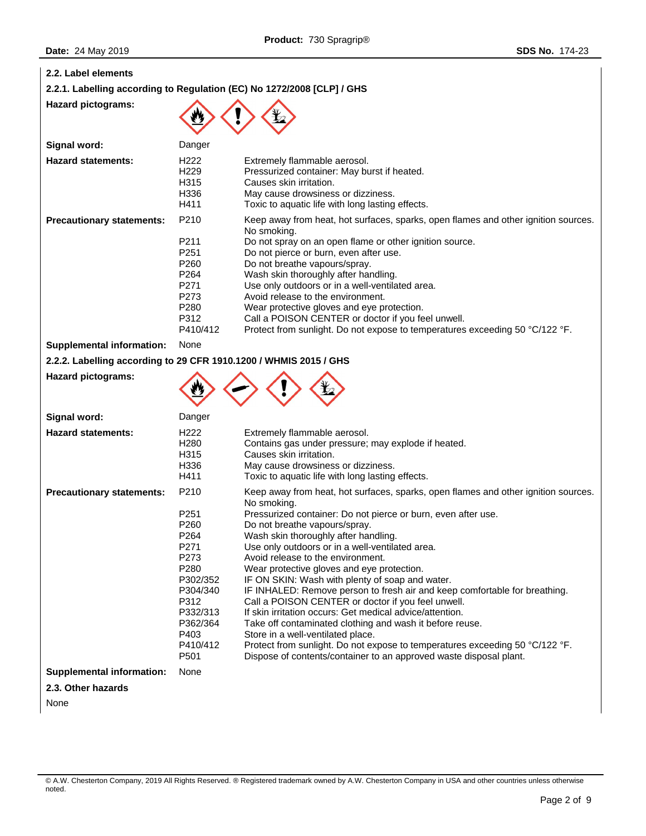| 2.2. Label elements                                               |                                                                                                                                                                              |                                                                                                                                                                                                                                                                                                                                                                                                                                                                                                                                                                                                                                                                                                                                                                                                                                                                                             |
|-------------------------------------------------------------------|------------------------------------------------------------------------------------------------------------------------------------------------------------------------------|---------------------------------------------------------------------------------------------------------------------------------------------------------------------------------------------------------------------------------------------------------------------------------------------------------------------------------------------------------------------------------------------------------------------------------------------------------------------------------------------------------------------------------------------------------------------------------------------------------------------------------------------------------------------------------------------------------------------------------------------------------------------------------------------------------------------------------------------------------------------------------------------|
|                                                                   |                                                                                                                                                                              | 2.2.1. Labelling according to Regulation (EC) No 1272/2008 [CLP] / GHS                                                                                                                                                                                                                                                                                                                                                                                                                                                                                                                                                                                                                                                                                                                                                                                                                      |
| <b>Hazard pictograms:</b>                                         |                                                                                                                                                                              |                                                                                                                                                                                                                                                                                                                                                                                                                                                                                                                                                                                                                                                                                                                                                                                                                                                                                             |
| Signal word:                                                      | Danger                                                                                                                                                                       |                                                                                                                                                                                                                                                                                                                                                                                                                                                                                                                                                                                                                                                                                                                                                                                                                                                                                             |
| <b>Hazard statements:</b>                                         | H <sub>222</sub><br>H <sub>229</sub><br>H315<br>H336<br>H411                                                                                                                 | Extremely flammable aerosol.<br>Pressurized container: May burst if heated.<br>Causes skin irritation.<br>May cause drowsiness or dizziness.<br>Toxic to aquatic life with long lasting effects.                                                                                                                                                                                                                                                                                                                                                                                                                                                                                                                                                                                                                                                                                            |
| <b>Precautionary statements:</b>                                  | P210<br>P211<br>P <sub>251</sub><br>P <sub>260</sub><br>P <sub>264</sub><br>P271<br>P273<br>P280<br>P312<br>P410/412                                                         | Keep away from heat, hot surfaces, sparks, open flames and other ignition sources.<br>No smoking.<br>Do not spray on an open flame or other ignition source.<br>Do not pierce or burn, even after use.<br>Do not breathe vapours/spray.<br>Wash skin thoroughly after handling.<br>Use only outdoors or in a well-ventilated area.<br>Avoid release to the environment.<br>Wear protective gloves and eye protection.<br>Call a POISON CENTER or doctor if you feel unwell.<br>Protect from sunlight. Do not expose to temperatures exceeding 50 °C/122 °F.                                                                                                                                                                                                                                                                                                                                 |
| <b>Supplemental information:</b>                                  | None                                                                                                                                                                         |                                                                                                                                                                                                                                                                                                                                                                                                                                                                                                                                                                                                                                                                                                                                                                                                                                                                                             |
| 2.2.2. Labelling according to 29 CFR 1910.1200 / WHMIS 2015 / GHS |                                                                                                                                                                              |                                                                                                                                                                                                                                                                                                                                                                                                                                                                                                                                                                                                                                                                                                                                                                                                                                                                                             |
| <b>Hazard pictograms:</b>                                         |                                                                                                                                                                              |                                                                                                                                                                                                                                                                                                                                                                                                                                                                                                                                                                                                                                                                                                                                                                                                                                                                                             |
| Signal word:                                                      | Danger                                                                                                                                                                       |                                                                                                                                                                                                                                                                                                                                                                                                                                                                                                                                                                                                                                                                                                                                                                                                                                                                                             |
| <b>Hazard statements:</b>                                         | H <sub>222</sub><br>H <sub>280</sub><br>H315<br>H336<br>H411                                                                                                                 | Extremely flammable aerosol.<br>Contains gas under pressure; may explode if heated.<br>Causes skin irritation.<br>May cause drowsiness or dizziness.<br>Toxic to aquatic life with long lasting effects.                                                                                                                                                                                                                                                                                                                                                                                                                                                                                                                                                                                                                                                                                    |
| <b>Precautionary statements:</b>                                  | P210<br>P <sub>251</sub><br>P <sub>260</sub><br>P264<br>P271<br>P273<br>P280<br>P302/352<br>P304/340<br>P312<br>P332/313<br>P362/364<br>P403<br>P410/412<br>P <sub>501</sub> | Keep away from heat, hot surfaces, sparks, open flames and other ignition sources.<br>No smoking.<br>Pressurized container: Do not pierce or burn, even after use.<br>Do not breathe vapours/spray.<br>Wash skin thoroughly after handling.<br>Use only outdoors or in a well-ventilated area.<br>Avoid release to the environment.<br>Wear protective gloves and eye protection.<br>IF ON SKIN: Wash with plenty of soap and water.<br>IF INHALED: Remove person to fresh air and keep comfortable for breathing.<br>Call a POISON CENTER or doctor if you feel unwell.<br>If skin irritation occurs: Get medical advice/attention.<br>Take off contaminated clothing and wash it before reuse.<br>Store in a well-ventilated place.<br>Protect from sunlight. Do not expose to temperatures exceeding 50 °C/122 °F.<br>Dispose of contents/container to an approved waste disposal plant. |
| <b>Supplemental information:</b>                                  | None                                                                                                                                                                         |                                                                                                                                                                                                                                                                                                                                                                                                                                                                                                                                                                                                                                                                                                                                                                                                                                                                                             |
| 2.3. Other hazards                                                |                                                                                                                                                                              |                                                                                                                                                                                                                                                                                                                                                                                                                                                                                                                                                                                                                                                                                                                                                                                                                                                                                             |

None

<sup>©</sup> A.W. Chesterton Company, 2019 All Rights Reserved. ® Registered trademark owned by A.W. Chesterton Company in USA and other countries unless otherwise noted.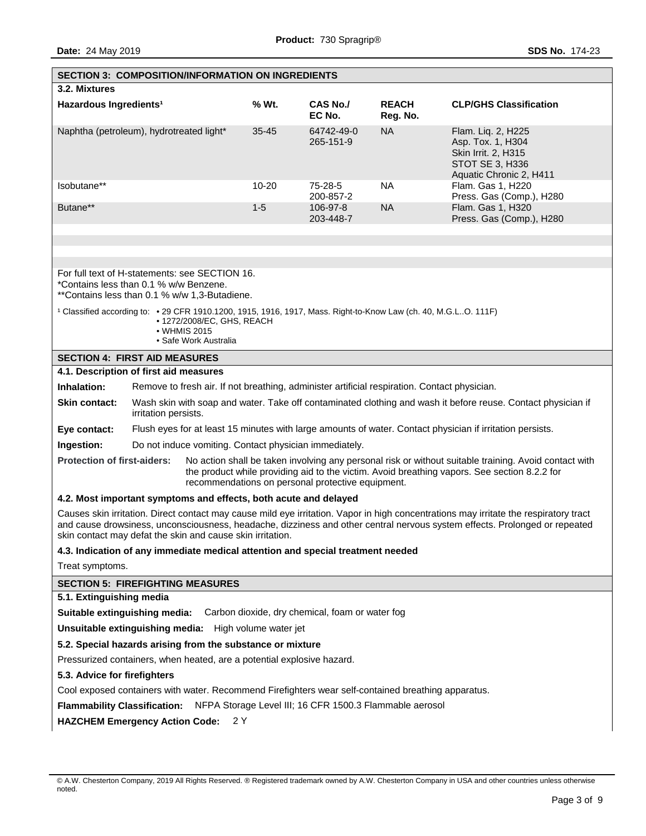|                                                                                                                                                                                                                                                                                                                                   | <b>SECTION 3: COMPOSITION/INFORMATION ON INGREDIENTS</b>                                                                                                                               |           |                         |                          |                                                                                                              |  |
|-----------------------------------------------------------------------------------------------------------------------------------------------------------------------------------------------------------------------------------------------------------------------------------------------------------------------------------|----------------------------------------------------------------------------------------------------------------------------------------------------------------------------------------|-----------|-------------------------|--------------------------|--------------------------------------------------------------------------------------------------------------|--|
| 3.2. Mixtures                                                                                                                                                                                                                                                                                                                     |                                                                                                                                                                                        |           |                         |                          |                                                                                                              |  |
| Hazardous Ingredients <sup>1</sup>                                                                                                                                                                                                                                                                                                |                                                                                                                                                                                        | % Wt.     | CAS No./<br>EC No.      | <b>REACH</b><br>Reg. No. | <b>CLP/GHS Classification</b>                                                                                |  |
| Naphtha (petroleum), hydrotreated light*                                                                                                                                                                                                                                                                                          |                                                                                                                                                                                        | $35 - 45$ | 64742-49-0<br>265-151-9 | <b>NA</b>                | Flam. Liq. 2, H225<br>Asp. Tox. 1, H304<br>Skin Irrit. 2, H315<br>STOT SE 3, H336<br>Aquatic Chronic 2, H411 |  |
| Isobutane**                                                                                                                                                                                                                                                                                                                       |                                                                                                                                                                                        | $10 - 20$ | 75-28-5<br>200-857-2    | <b>NA</b>                | Flam. Gas 1, H220<br>Press. Gas (Comp.), H280                                                                |  |
| Butane**                                                                                                                                                                                                                                                                                                                          |                                                                                                                                                                                        | $1 - 5$   | 106-97-8<br>203-448-7   | <b>NA</b>                | Flam. Gas 1, H320<br>Press. Gas (Comp.), H280                                                                |  |
|                                                                                                                                                                                                                                                                                                                                   |                                                                                                                                                                                        |           |                         |                          |                                                                                                              |  |
| For full text of H-statements: see SECTION 16.<br>*Contains less than 0.1 % w/w Benzene.<br>**Contains less than 0.1 % w/w 1,3-Butadiene.                                                                                                                                                                                         |                                                                                                                                                                                        |           |                         |                          |                                                                                                              |  |
|                                                                                                                                                                                                                                                                                                                                   | 1 Classified according to: • 29 CFR 1910.1200, 1915, 1916, 1917, Mass. Right-to-Know Law (ch. 40, M.G.LO. 111F)<br>• 1272/2008/EC, GHS, REACH<br>• WHMIS 2015<br>• Safe Work Australia |           |                         |                          |                                                                                                              |  |
|                                                                                                                                                                                                                                                                                                                                   | <b>SECTION 4: FIRST AID MEASURES</b>                                                                                                                                                   |           |                         |                          |                                                                                                              |  |
|                                                                                                                                                                                                                                                                                                                                   | 4.1. Description of first aid measures                                                                                                                                                 |           |                         |                          |                                                                                                              |  |
| Inhalation:                                                                                                                                                                                                                                                                                                                       | Remove to fresh air. If not breathing, administer artificial respiration. Contact physician.                                                                                           |           |                         |                          |                                                                                                              |  |
| <b>Skin contact:</b>                                                                                                                                                                                                                                                                                                              | Wash skin with soap and water. Take off contaminated clothing and wash it before reuse. Contact physician if<br>irritation persists.                                                   |           |                         |                          |                                                                                                              |  |
| Eye contact:                                                                                                                                                                                                                                                                                                                      |                                                                                                                                                                                        |           |                         |                          | Flush eyes for at least 15 minutes with large amounts of water. Contact physician if irritation persists.    |  |
| Ingestion:                                                                                                                                                                                                                                                                                                                        | Do not induce vomiting. Contact physician immediately.                                                                                                                                 |           |                         |                          |                                                                                                              |  |
| <b>Protection of first-aiders:</b><br>No action shall be taken involving any personal risk or without suitable training. Avoid contact with<br>the product while providing aid to the victim. Avoid breathing vapors. See section 8.2.2 for<br>recommendations on personal protective equipment.                                  |                                                                                                                                                                                        |           |                         |                          |                                                                                                              |  |
| 4.2. Most important symptoms and effects, both acute and delayed                                                                                                                                                                                                                                                                  |                                                                                                                                                                                        |           |                         |                          |                                                                                                              |  |
| Causes skin irritation. Direct contact may cause mild eye irritation. Vapor in high concentrations may irritate the respiratory tract<br>and cause drowsiness, unconsciousness, headache, dizziness and other central nervous system effects. Prolonged or repeated<br>skin contact may defat the skin and cause skin irritation. |                                                                                                                                                                                        |           |                         |                          |                                                                                                              |  |
|                                                                                                                                                                                                                                                                                                                                   | 4.3. Indication of any immediate medical attention and special treatment needed                                                                                                        |           |                         |                          |                                                                                                              |  |
| Treat symptoms.                                                                                                                                                                                                                                                                                                                   |                                                                                                                                                                                        |           |                         |                          |                                                                                                              |  |
|                                                                                                                                                                                                                                                                                                                                   | <b>SECTION 5: FIREFIGHTING MEASURES</b>                                                                                                                                                |           |                         |                          |                                                                                                              |  |
| 5.1. Extinguishing media                                                                                                                                                                                                                                                                                                          |                                                                                                                                                                                        |           |                         |                          |                                                                                                              |  |
| Suitable extinguishing media: Carbon dioxide, dry chemical, foam or water fog                                                                                                                                                                                                                                                     |                                                                                                                                                                                        |           |                         |                          |                                                                                                              |  |
| Unsuitable extinguishing media: High volume water jet                                                                                                                                                                                                                                                                             |                                                                                                                                                                                        |           |                         |                          |                                                                                                              |  |
| 5.2. Special hazards arising from the substance or mixture                                                                                                                                                                                                                                                                        |                                                                                                                                                                                        |           |                         |                          |                                                                                                              |  |
| Pressurized containers, when heated, are a potential explosive hazard.                                                                                                                                                                                                                                                            |                                                                                                                                                                                        |           |                         |                          |                                                                                                              |  |
| 5.3. Advice for firefighters                                                                                                                                                                                                                                                                                                      |                                                                                                                                                                                        |           |                         |                          |                                                                                                              |  |
| Cool exposed containers with water. Recommend Firefighters wear self-contained breathing apparatus.                                                                                                                                                                                                                               |                                                                                                                                                                                        |           |                         |                          |                                                                                                              |  |
| Flammability Classification: NFPA Storage Level III; 16 CFR 1500.3 Flammable aerosol                                                                                                                                                                                                                                              |                                                                                                                                                                                        |           |                         |                          |                                                                                                              |  |
|                                                                                                                                                                                                                                                                                                                                   | HAZCHEM Emergency Action Code: 2 Y                                                                                                                                                     |           |                         |                          |                                                                                                              |  |
|                                                                                                                                                                                                                                                                                                                                   |                                                                                                                                                                                        |           |                         |                          |                                                                                                              |  |

<sup>©</sup> A.W. Chesterton Company, 2019 All Rights Reserved. ® Registered trademark owned by A.W. Chesterton Company in USA and other countries unless otherwise noted.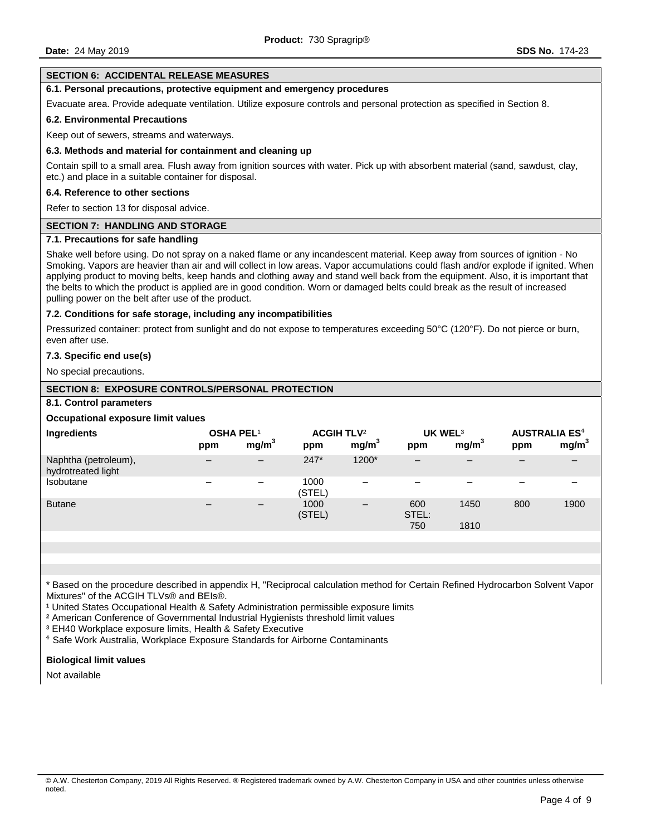#### **SECTION 6: ACCIDENTAL RELEASE MEASURES**

### **6.1. Personal precautions, protective equipment and emergency procedures**

Evacuate area. Provide adequate ventilation. Utilize exposure controls and personal protection as specified in Section 8.

#### **6.2. Environmental Precautions**

Keep out of sewers, streams and waterways.

#### **6.3. Methods and material for containment and cleaning up**

Contain spill to a small area. Flush away from ignition sources with water. Pick up with absorbent material (sand, sawdust, clay, etc.) and place in a suitable container for disposal.

#### **6.4. Reference to other sections**

Refer to section 13 for disposal advice.

#### **SECTION 7: HANDLING AND STORAGE**

# **7.1. Precautions for safe handling**

Shake well before using. Do not spray on a naked flame or any incandescent material. Keep away from sources of ignition - No Smoking. Vapors are heavier than air and will collect in low areas. Vapor accumulations could flash and/or explode if ignited. When applying product to moving belts, keep hands and clothing away and stand well back from the equipment. Also, it is important that the belts to which the product is applied are in good condition. Worn or damaged belts could break as the result of increased pulling power on the belt after use of the product.

#### **7.2. Conditions for safe storage, including any incompatibilities**

Pressurized container: protect from sunlight and do not expose to temperatures exceeding 50°C (120°F). Do not pierce or burn, even after use.

#### **7.3. Specific end use(s)**

No special precautions.

## **SECTION 8: EXPOSURE CONTROLS/PERSONAL PROTECTION**

#### **8.1. Control parameters**

#### **Occupational exposure limit values**

| Ingredients                                | <b>OSHA PEL1</b><br>ppm      | mg/m <sup>3</sup>            | <b>ACGIH TLV<sup>2</sup></b><br>ppm | mg/m <sup>3</sup> | UK WEL <sup>3</sup><br>ppm | mg/m <sup>3</sup> | <b>AUSTRALIA ES<sup>4</sup></b><br>ppm | mg/m <sup>3</sup> |
|--------------------------------------------|------------------------------|------------------------------|-------------------------------------|-------------------|----------------------------|-------------------|----------------------------------------|-------------------|
| Naphtha (petroleum),<br>hydrotreated light | $\qquad \qquad \blacksquare$ | $\overline{\phantom{m}}$     | $247*$                              | 1200*             | $\overline{\phantom{m}}$   |                   |                                        |                   |
| Isobutane                                  |                              | -                            | 1000<br>(STEL)                      | -                 | $\overline{\phantom{0}}$   | -                 |                                        |                   |
| <b>Butane</b>                              |                              | $\qquad \qquad \blacksquare$ | 1000<br>(STEL)                      |                   | 600<br>STEL:<br>750        | 1450<br>1810      | 800                                    | 1900              |
|                                            |                              |                              |                                     |                   |                            |                   |                                        |                   |

\* Based on the procedure described in appendix H, "Reciprocal calculation method for Certain Refined Hydrocarbon Solvent Vapor Mixtures" of the ACGIH TLVs® and BEIs®.

<sup>1</sup> United States Occupational Health & Safety Administration permissible exposure limits

² American Conference of Governmental Industrial Hygienists threshold limit values

<sup>3</sup> EH40 Workplace exposure limits, Health & Safety Executive

⁴ Safe Work Australia, Workplace Exposure Standards for Airborne Contaminants

#### **Biological limit values**

Not available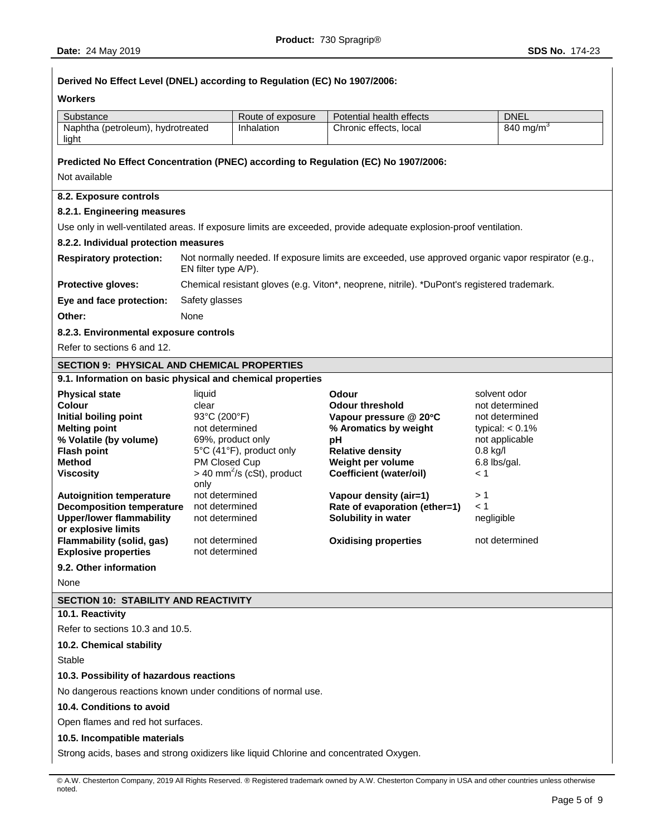# **Derived No Effect Level (DNEL) according to Regulation (EC) No 1907/2006: Workers**  Substance Route of exposure Route of exposure Potential health effects DNEL Naphtha (petroleum), hydrotreated light Inhalation | Chronic effects, local | 840 mg/m<sup>3</sup> **Predicted No Effect Concentration (PNEC) according to Regulation (EC) No 1907/2006:** Not available **8.2. Exposure controls 8.2.1. Engineering measures**  Use only in well-ventilated areas. If exposure limits are exceeded, provide adequate explosion-proof ventilation. **8.2.2. Individual protection measures Respiratory protection:** Not normally needed. If exposure limits are exceeded, use approved organic vapor respirator (e.g., EN filter type A/P). **Protective gloves:** Chemical resistant gloves (e.g. Viton\*, neoprene, nitrile). \*DuPont's registered trademark. **Eye and face protection:** Safety glasses **Other:** None **8.2.3. Environmental exposure controls**  Refer to sections 6 and 12. **SECTION 9: PHYSICAL AND CHEMICAL PROPERTIES 9.1. Information on basic physical and chemical properties Physical state Contract State liquid Colour Colour** *Solvent odor* **Colour** *solvent odor* **Colour Colour Colour Colour Colour Colour Colour Colour Colour Colour Colour Colour Colour Colou Colour** clear **Odour threshold** not determined **Initial boiling point** 93°C (200°F) **Vapour pressure @ 20C** not determined **Melting point** not determined **% Aromatics by weight** typical: < 0.1% **% Volatile (by volume)** 69%, product only **pH** not applicable **Flash point** 5°C (41°F), product only **Relative density** 0.8 kg/l **Method** PM Closed Cup **Weight per volume** 6.8 lbs/gal. **Viscosity**  $>$  40 mm<sup>2</sup>/s (cSt), product only **Coefficient (water/oil)** < 1 **Autoignition temperature** not determined **Vapour density (air=1)** > 1 **Decomposition temperature** not determined **Rate of evaporation (ether=1)** < 1 **Upper/lower flammability or explosive limits**  not determined **Solubility in water** negligible **Flammability (solid, gas)** not determined **Oxidising properties** not determined **Explosive properties** not determined **9.2. Other information**  None **SECTION 10: STABILITY AND REACTIVITY 10.1. Reactivity**  Refer to sections 10.3 and 10.5. **10.2. Chemical stability Stable 10.3. Possibility of hazardous reactions**  No dangerous reactions known under conditions of normal use. **10.4. Conditions to avoid**  Open flames and red hot surfaces. **10.5. Incompatible materials**  Strong acids, bases and strong oxidizers like liquid Chlorine and concentrated Oxygen.

<sup>©</sup> A.W. Chesterton Company, 2019 All Rights Reserved. ® Registered trademark owned by A.W. Chesterton Company in USA and other countries unless otherwise noted.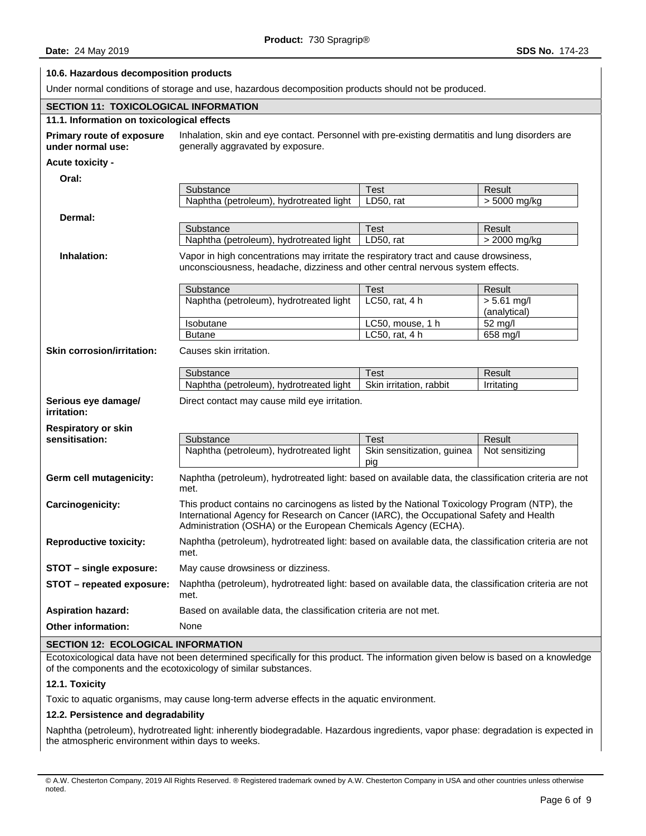# **10.6. Hazardous decomposition products**  Under normal conditions of storage and use, hazardous decomposition products should not be produced. **SECTION 11: TOXICOLOGICAL INFORMATION 11.1. Information on toxicological effects Primary route of exposure under normal use:**  Inhalation, skin and eye contact. Personnel with pre-existing dermatitis and lung disorders are generally aggravated by exposure. **Acute toxicity - Oral:**  Substance **Test Result** Result Naphtha (petroleum), hydrotreated light LD50, rat  $>$  5000 mg/kg **Dermal:**  Substance Test Result Naphtha (petroleum), hydrotreated light LD50, rat > 2000 mg/kg **Inhalation:** Vapor in high concentrations may irritate the respiratory tract and cause drowsiness, unconsciousness, headache, dizziness and other central nervous system effects. Substance **Test Test** Result Naphtha (petroleum), hydrotreated light | LC50, rat, 4 h | > 5.61 mg/l (analytical) Isobutane **LC50**, mouse, 1 h 52 mg/l Butane **LC50, rat, 4 h** 658 mg/l **Skin corrosion/irritation:** Causes skin irritation. Substance Test Test Result Naphtha (petroleum), hydrotreated light  $\parallel$  Skin irritation, rabbit  $\parallel$  Irritating **Serious eye damage/ irritation:**  Direct contact may cause mild eye irritation. **Respiratory or skin sensitisation:** Substance Test Result Naphtha (petroleum), hydrotreated light  $\vert$  Skin sensitization, guinea pig Not sensitizing **Germ cell mutagenicity:** Naphtha (petroleum), hydrotreated light: based on available data, the classification criteria are not met. **Carcinogenicity:** This product contains no carcinogens as listed by the National Toxicology Program (NTP), the International Agency for Research on Cancer (IARC), the Occupational Safety and Health Administration (OSHA) or the European Chemicals Agency (ECHA). **Reproductive toxicity:** Naphtha (petroleum), hydrotreated light: based on available data, the classification criteria are not met. **STOT – single exposure:** May cause drowsiness or dizziness. **STOT – repeated exposure:** Naphtha (petroleum), hydrotreated light: based on available data, the classification criteria are not met. **Aspiration hazard:** Based on available data, the classification criteria are not met. **Other information:** None **SECTION 12: ECOLOGICAL INFORMATION**

Ecotoxicological data have not been determined specifically for this product. The information given below is based on a knowledge of the components and the ecotoxicology of similar substances.

## **12.1. Toxicity**

Toxic to aquatic organisms, may cause long-term adverse effects in the aquatic environment.

## **12.2. Persistence and degradability**

Naphtha (petroleum), hydrotreated light: inherently biodegradable. Hazardous ingredients, vapor phase: degradation is expected in the atmospheric environment within days to weeks.

<sup>©</sup> A.W. Chesterton Company, 2019 All Rights Reserved. ® Registered trademark owned by A.W. Chesterton Company in USA and other countries unless otherwise noted.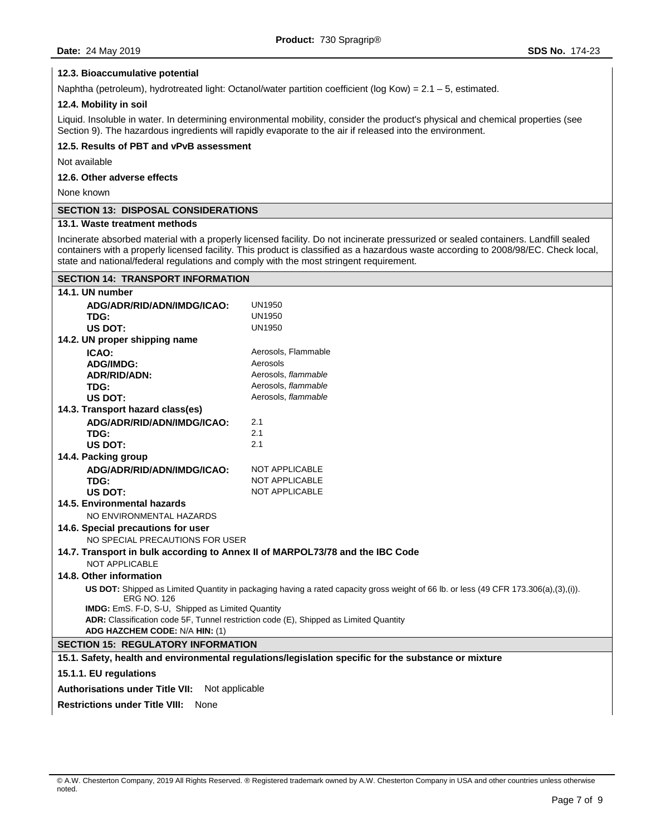### **12.3. Bioaccumulative potential**

Naphtha (petroleum), hydrotreated light: Octanol/water partition coefficient (log Kow) =  $2.1 - 5$ , estimated.

### **12.4. Mobility in soil**

Liquid. Insoluble in water. In determining environmental mobility, consider the product's physical and chemical properties (see Section 9). The hazardous ingredients will rapidly evaporate to the air if released into the environment.

# **12.5. Results of PBT and vPvB assessment**

Not available

# **12.6. Other adverse effects**

None known

# **SECTION 13: DISPOSAL CONSIDERATIONS**

**SECTION 14: TRANSPORT INFORMATION** 

# **13.1. Waste treatment methods**

Incinerate absorbed material with a properly licensed facility. Do not incinerate pressurized or sealed containers. Landfill sealed containers with a properly licensed facility. This product is classified as a hazardous waste according to 2008/98/EC. Check local, state and national/federal regulations and comply with the most stringent requirement.

| 14.1. UN number                                                                                                                                            |                                                                                                      |  |  |  |  |
|------------------------------------------------------------------------------------------------------------------------------------------------------------|------------------------------------------------------------------------------------------------------|--|--|--|--|
| ADG/ADR/RID/ADN/IMDG/ICAO:                                                                                                                                 | <b>UN1950</b>                                                                                        |  |  |  |  |
| TDG:                                                                                                                                                       | <b>UN1950</b>                                                                                        |  |  |  |  |
| <b>US DOT:</b>                                                                                                                                             | <b>UN1950</b>                                                                                        |  |  |  |  |
| 14.2. UN proper shipping name                                                                                                                              |                                                                                                      |  |  |  |  |
| ICAO:                                                                                                                                                      | Aerosols, Flammable                                                                                  |  |  |  |  |
| <b>ADG/IMDG:</b>                                                                                                                                           | Aerosols                                                                                             |  |  |  |  |
| <b>ADR/RID/ADN:</b>                                                                                                                                        | Aerosols, flammable                                                                                  |  |  |  |  |
| TDG:                                                                                                                                                       | Aerosols, flammable                                                                                  |  |  |  |  |
| <b>US DOT:</b>                                                                                                                                             | Aerosols, flammable                                                                                  |  |  |  |  |
| 14.3. Transport hazard class(es)                                                                                                                           |                                                                                                      |  |  |  |  |
| ADG/ADR/RID/ADN/IMDG/ICAO:                                                                                                                                 | 2.1                                                                                                  |  |  |  |  |
| TDG:                                                                                                                                                       | 2.1                                                                                                  |  |  |  |  |
| US DOT:                                                                                                                                                    | 2.1                                                                                                  |  |  |  |  |
| 14.4. Packing group                                                                                                                                        |                                                                                                      |  |  |  |  |
| ADG/ADR/RID/ADN/IMDG/ICAO:                                                                                                                                 | <b>NOT APPLICABLE</b>                                                                                |  |  |  |  |
| TDG:                                                                                                                                                       | <b>NOT APPLICABLE</b>                                                                                |  |  |  |  |
| US DOT:                                                                                                                                                    | <b>NOT APPLICABLE</b>                                                                                |  |  |  |  |
| 14.5. Environmental hazards                                                                                                                                |                                                                                                      |  |  |  |  |
| NO ENVIRONMENTAL HAZARDS                                                                                                                                   |                                                                                                      |  |  |  |  |
| 14.6. Special precautions for user                                                                                                                         |                                                                                                      |  |  |  |  |
| NO SPECIAL PRECAUTIONS FOR USER                                                                                                                            |                                                                                                      |  |  |  |  |
| 14.7. Transport in bulk according to Annex II of MARPOL73/78 and the IBC Code                                                                              |                                                                                                      |  |  |  |  |
| NOT APPLICABLE                                                                                                                                             |                                                                                                      |  |  |  |  |
| 14.8. Other information                                                                                                                                    |                                                                                                      |  |  |  |  |
| US DOT: Shipped as Limited Quantity in packaging having a rated capacity gross weight of 66 lb. or less (49 CFR 173.306(a),(3),(i)).<br><b>ERG NO. 126</b> |                                                                                                      |  |  |  |  |
| IMDG: EmS. F-D, S-U, Shipped as Limited Quantity                                                                                                           |                                                                                                      |  |  |  |  |
| ADR: Classification code 5F, Tunnel restriction code (E), Shipped as Limited Quantity                                                                      |                                                                                                      |  |  |  |  |
| ADG HAZCHEM CODE: N/A HIN: (1)                                                                                                                             |                                                                                                      |  |  |  |  |
| <b>SECTION 15: REGULATORY INFORMATION</b>                                                                                                                  |                                                                                                      |  |  |  |  |
|                                                                                                                                                            | 15.1. Safety, health and environmental regulations/legislation specific for the substance or mixture |  |  |  |  |
| 15.1.1. EU regulations                                                                                                                                     |                                                                                                      |  |  |  |  |
| <b>Authorisations under Title VII:</b><br>Not applicable                                                                                                   |                                                                                                      |  |  |  |  |
| <b>Restrictions under Title VIII:</b><br>None                                                                                                              |                                                                                                      |  |  |  |  |
|                                                                                                                                                            |                                                                                                      |  |  |  |  |

<sup>©</sup> A.W. Chesterton Company, 2019 All Rights Reserved. ® Registered trademark owned by A.W. Chesterton Company in USA and other countries unless otherwise noted.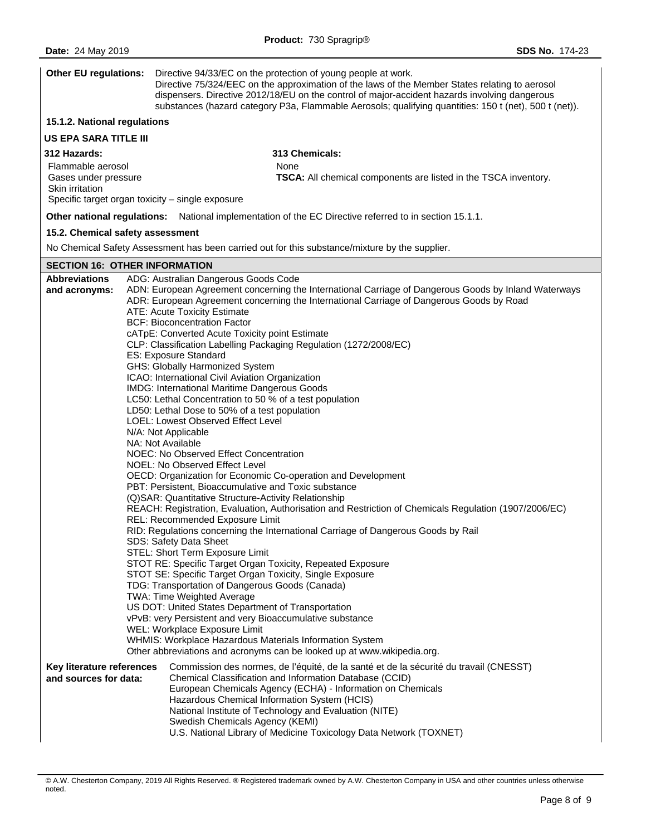| <b>Other EU regulations:</b>                                                 | Directive 94/33/EC on the protection of young people at work.<br>Directive 75/324/EEC on the approximation of the laws of the Member States relating to aerosol<br>dispensers. Directive 2012/18/EU on the control of major-accident hazards involving dangerous<br>substances (hazard category P3a, Flammable Aerosols; qualifying quantities: 150 t (net), 500 t (net)).                                                                                                                                                                                                                                                                                                                                                                                                                                                                                                                                                                                                                                                                                                                                                                                                                                                                                                                                                                                                                                                                                                                                                                                                                                                                                                                                                                                                                           |  |  |  |
|------------------------------------------------------------------------------|------------------------------------------------------------------------------------------------------------------------------------------------------------------------------------------------------------------------------------------------------------------------------------------------------------------------------------------------------------------------------------------------------------------------------------------------------------------------------------------------------------------------------------------------------------------------------------------------------------------------------------------------------------------------------------------------------------------------------------------------------------------------------------------------------------------------------------------------------------------------------------------------------------------------------------------------------------------------------------------------------------------------------------------------------------------------------------------------------------------------------------------------------------------------------------------------------------------------------------------------------------------------------------------------------------------------------------------------------------------------------------------------------------------------------------------------------------------------------------------------------------------------------------------------------------------------------------------------------------------------------------------------------------------------------------------------------------------------------------------------------------------------------------------------------|--|--|--|
| 15.1.2. National regulations                                                 |                                                                                                                                                                                                                                                                                                                                                                                                                                                                                                                                                                                                                                                                                                                                                                                                                                                                                                                                                                                                                                                                                                                                                                                                                                                                                                                                                                                                                                                                                                                                                                                                                                                                                                                                                                                                      |  |  |  |
| <b>US EPA SARA TITLE III</b>                                                 |                                                                                                                                                                                                                                                                                                                                                                                                                                                                                                                                                                                                                                                                                                                                                                                                                                                                                                                                                                                                                                                                                                                                                                                                                                                                                                                                                                                                                                                                                                                                                                                                                                                                                                                                                                                                      |  |  |  |
| 312 Hazards:<br>Flammable aerosol<br>Gases under pressure<br>Skin irritation | 313 Chemicals:<br>None<br>TSCA: All chemical components are listed in the TSCA inventory.<br>Specific target organ toxicity - single exposure                                                                                                                                                                                                                                                                                                                                                                                                                                                                                                                                                                                                                                                                                                                                                                                                                                                                                                                                                                                                                                                                                                                                                                                                                                                                                                                                                                                                                                                                                                                                                                                                                                                        |  |  |  |
|                                                                              | Other national regulations: National implementation of the EC Directive referred to in section 15.1.1.                                                                                                                                                                                                                                                                                                                                                                                                                                                                                                                                                                                                                                                                                                                                                                                                                                                                                                                                                                                                                                                                                                                                                                                                                                                                                                                                                                                                                                                                                                                                                                                                                                                                                               |  |  |  |
| 15.2. Chemical safety assessment                                             |                                                                                                                                                                                                                                                                                                                                                                                                                                                                                                                                                                                                                                                                                                                                                                                                                                                                                                                                                                                                                                                                                                                                                                                                                                                                                                                                                                                                                                                                                                                                                                                                                                                                                                                                                                                                      |  |  |  |
|                                                                              | No Chemical Safety Assessment has been carried out for this substance/mixture by the supplier.                                                                                                                                                                                                                                                                                                                                                                                                                                                                                                                                                                                                                                                                                                                                                                                                                                                                                                                                                                                                                                                                                                                                                                                                                                                                                                                                                                                                                                                                                                                                                                                                                                                                                                       |  |  |  |
| <b>SECTION 16: OTHER INFORMATION</b>                                         |                                                                                                                                                                                                                                                                                                                                                                                                                                                                                                                                                                                                                                                                                                                                                                                                                                                                                                                                                                                                                                                                                                                                                                                                                                                                                                                                                                                                                                                                                                                                                                                                                                                                                                                                                                                                      |  |  |  |
| <b>Abbreviations</b><br>and acronyms:                                        | ADG: Australian Dangerous Goods Code<br>ADN: European Agreement concerning the International Carriage of Dangerous Goods by Inland Waterways<br>ADR: European Agreement concerning the International Carriage of Dangerous Goods by Road<br><b>ATE: Acute Toxicity Estimate</b><br><b>BCF: Bioconcentration Factor</b><br>cATpE: Converted Acute Toxicity point Estimate<br>CLP: Classification Labelling Packaging Regulation (1272/2008/EC)<br>ES: Exposure Standard<br>GHS: Globally Harmonized System<br>ICAO: International Civil Aviation Organization<br>IMDG: International Maritime Dangerous Goods<br>LC50: Lethal Concentration to 50 % of a test population<br>LD50: Lethal Dose to 50% of a test population<br><b>LOEL: Lowest Observed Effect Level</b><br>N/A: Not Applicable<br>NA: Not Available<br>NOEC: No Observed Effect Concentration<br>NOEL: No Observed Effect Level<br>OECD: Organization for Economic Co-operation and Development<br>PBT: Persistent, Bioaccumulative and Toxic substance<br>(Q)SAR: Quantitative Structure-Activity Relationship<br>REACH: Registration, Evaluation, Authorisation and Restriction of Chemicals Regulation (1907/2006/EC)<br>REL: Recommended Exposure Limit<br>RID: Regulations concerning the International Carriage of Dangerous Goods by Rail<br>SDS: Safety Data Sheet<br>STEL: Short Term Exposure Limit<br>STOT RE: Specific Target Organ Toxicity, Repeated Exposure<br>STOT SE: Specific Target Organ Toxicity, Single Exposure<br>TDG: Transportation of Dangerous Goods (Canada)<br>TWA: Time Weighted Average<br>US DOT: United States Department of Transportation<br>vPvB: very Persistent and very Bioaccumulative substance<br>WEL: Workplace Exposure Limit<br>WHMIS: Workplace Hazardous Materials Information System |  |  |  |
| Key literature references<br>and sources for data:                           | Other abbreviations and acronyms can be looked up at www.wikipedia.org.<br>Commission des normes, de l'équité, de la santé et de la sécurité du travail (CNESST)<br>Chemical Classification and Information Database (CCID)<br>European Chemicals Agency (ECHA) - Information on Chemicals<br>Hazardous Chemical Information System (HCIS)<br>National Institute of Technology and Evaluation (NITE)<br>Swedish Chemicals Agency (KEMI)<br>U.S. National Library of Medicine Toxicology Data Network (TOXNET)                                                                                                                                                                                                                                                                                                                                                                                                                                                                                                                                                                                                                                                                                                                                                                                                                                                                                                                                                                                                                                                                                                                                                                                                                                                                                        |  |  |  |

<sup>©</sup> A.W. Chesterton Company, 2019 All Rights Reserved. ® Registered trademark owned by A.W. Chesterton Company in USA and other countries unless otherwise noted.